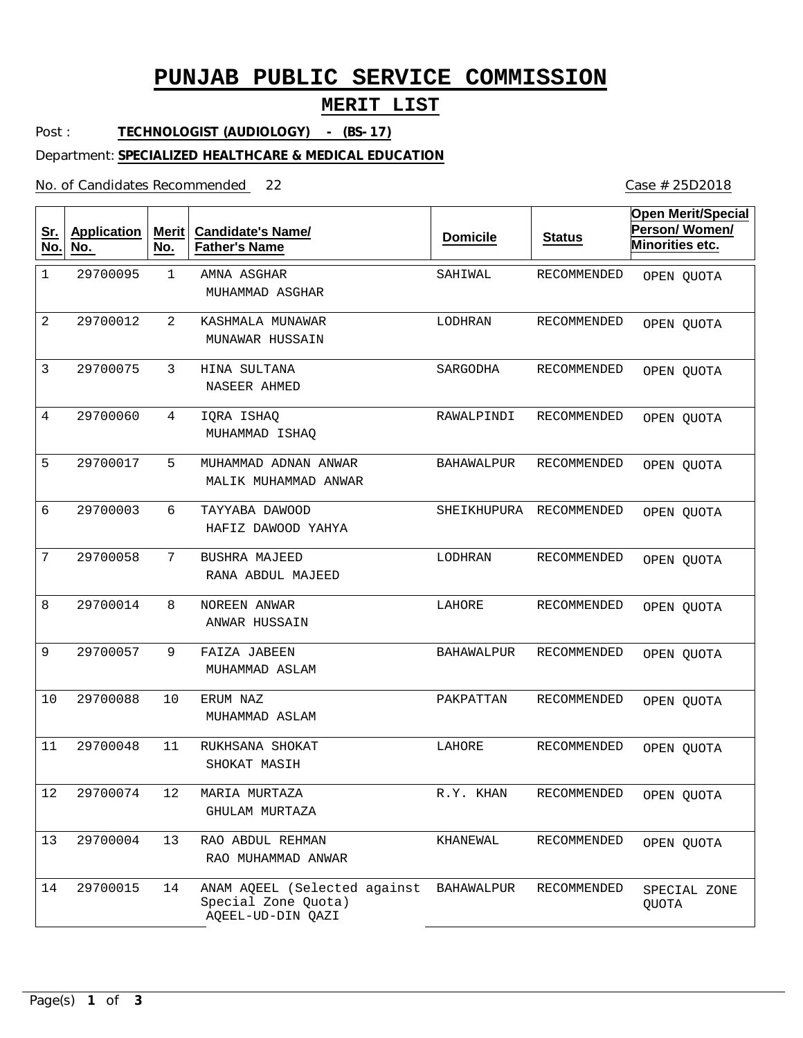## **PUNJAB PUBLIC SERVICE COMMISSION**

### **MERIT LIST**

Post : **TECHNOLOGIST (AUDIOLOGY) - (BS-17)**

Department: **SPECIALIZED HEALTHCARE & MEDICAL EDUCATION**

No. of Candidates Recommended

| <u>Sr.</u><br>No. | <b>Application</b><br>No. | <b>Merit</b><br>No. | <b>Candidate's Name/</b><br><b>Father's Name</b>                         | <b>Domicile</b>   | <b>Status</b>      | <b>Open Merit/Special</b><br>Person/Women/<br>Minorities etc. |
|-------------------|---------------------------|---------------------|--------------------------------------------------------------------------|-------------------|--------------------|---------------------------------------------------------------|
| $1\,$             | 29700095                  | $\mathbf{1}$        | AMNA ASGHAR<br>MUHAMMAD ASGHAR                                           | SAHIWAL           | RECOMMENDED        | OPEN QUOTA                                                    |
| 2                 | 29700012                  | $\overline{2}$      | KASHMALA MUNAWAR<br>MUNAWAR HUSSAIN                                      | LODHRAN           | RECOMMENDED        | OPEN QUOTA                                                    |
| 3                 | 29700075                  | 3                   | HINA SULTANA<br>NASEER AHMED                                             | SARGODHA          | <b>RECOMMENDED</b> | OPEN QUOTA                                                    |
| $\overline{4}$    | 29700060                  | 4                   | IQRA ISHAQ<br>MUHAMMAD ISHAQ                                             | RAWALPINDI        | <b>RECOMMENDED</b> | OPEN QUOTA                                                    |
| 5                 | 29700017                  | 5                   | MUHAMMAD ADNAN ANWAR<br>MALIK MUHAMMAD ANWAR                             | <b>BAHAWALPUR</b> | RECOMMENDED        | OPEN QUOTA                                                    |
| 6                 | 29700003                  | 6                   | TAYYABA DAWOOD<br>HAFIZ DAWOOD YAHYA                                     | SHEIKHUPURA       | RECOMMENDED        | OPEN QUOTA                                                    |
| 7                 | 29700058                  | 7                   | BUSHRA MAJEED<br>RANA ABDUL MAJEED                                       | LODHRAN           | RECOMMENDED        | OPEN QUOTA                                                    |
| 8                 | 29700014                  | 8                   | NOREEN ANWAR<br>ANWAR HUSSAIN                                            | LAHORE            | RECOMMENDED        | OPEN QUOTA                                                    |
| 9                 | 29700057                  | 9                   | FAIZA JABEEN<br>MUHAMMAD ASLAM                                           | <b>BAHAWALPUR</b> | RECOMMENDED        | OPEN QUOTA                                                    |
| 10                | 29700088                  | 10                  | ERUM NAZ<br>MUHAMMAD ASLAM                                               | PAKPATTAN         | <b>RECOMMENDED</b> | OPEN QUOTA                                                    |
| 11                | 29700048                  | 11                  | RUKHSANA SHOKAT<br>SHOKAT MASIH                                          | LAHORE            | RECOMMENDED        | OPEN QUOTA                                                    |
| $12\,$            | 29700074                  | 12                  | MARIA MURTAZA<br>GHULAM MURTAZA                                          | R.Y. KHAN         | RECOMMENDED        | OPEN QUOTA                                                    |
| 13                | 29700004                  | 13                  | RAO ABDUL REHMAN<br>RAO MUHAMMAD ANWAR                                   | KHANEWAL          | RECOMMENDED        | OPEN QUOTA                                                    |
| 14                | 29700015                  | 14                  | ANAM AQEEL (Selected against<br>Special Zone Quota)<br>AQEEL-UD-DIN QAZI | BAHAWALPUR        | RECOMMENDED        | SPECIAL ZONE<br>QUOTA                                         |

Case # 25D2018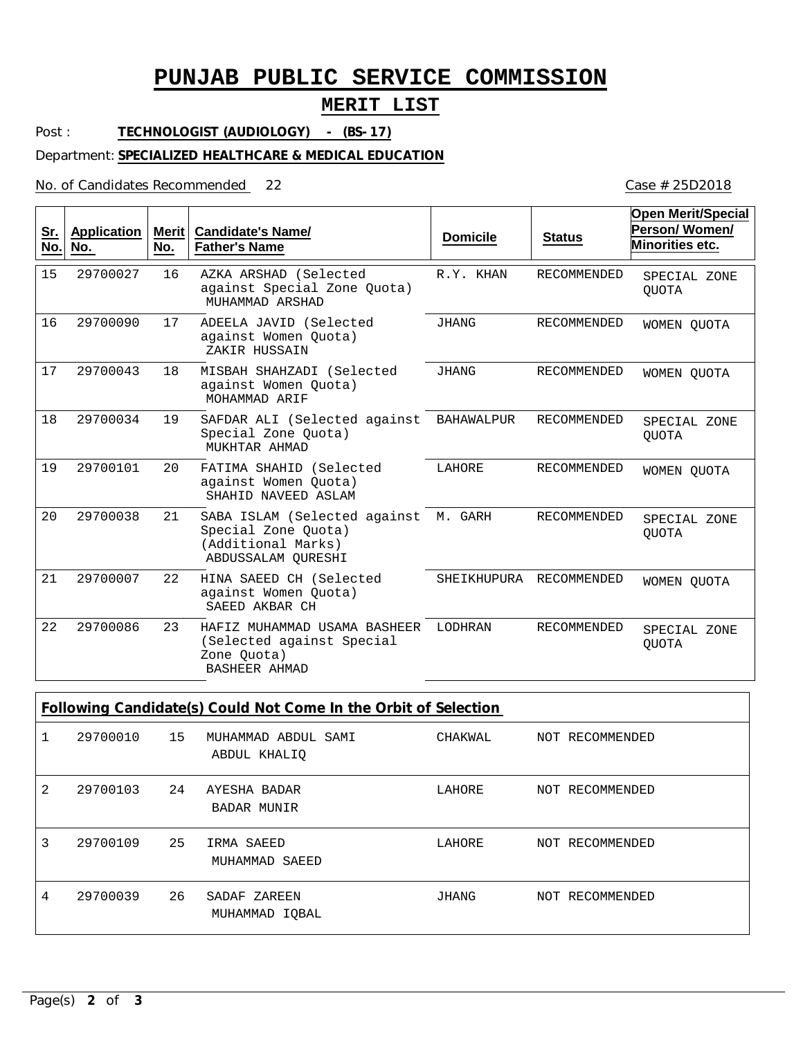# **PUNJAB PUBLIC SERVICE COMMISSION**

### **MERIT LIST**

Post : **TECHNOLOGIST (AUDIOLOGY) - (BS-17)**

Department: **SPECIALIZED HEALTHCARE & MEDICAL EDUCATION**

No. of Candidates Recommended

| <u>Sr.</u><br>No. | <b>Application</b><br>No. | Merit  <br>No. | Candidate's Name/<br><b>Father's Name</b>                                                               | <b>Domicile</b> | <b>Status</b>      | <b>Open Merit/Special</b><br>Person/Women/<br>Minorities etc. |
|-------------------|---------------------------|----------------|---------------------------------------------------------------------------------------------------------|-----------------|--------------------|---------------------------------------------------------------|
| 15                | 29700027                  | 16             | AZKA ARSHAD (Selected<br>against Special Zone Ouota)<br>MUHAMMAD ARSHAD                                 | R.Y. KHAN       | <b>RECOMMENDED</b> | SPECIAL ZONE<br><b>OUOTA</b>                                  |
| 16                | 29700090                  | 17             | ADEELA JAVID (Selected<br>against Women Ouota)<br>ZAKIR HUSSAIN                                         | <b>JHANG</b>    | <b>RECOMMENDED</b> | WOMEN OUOTA                                                   |
| 17                | 29700043                  | 18             | MISBAH SHAHZADI (Selected<br>against Women Quota)<br>MOHAMMAD ARIF                                      | <b>JHANG</b>    | <b>RECOMMENDED</b> | WOMEN QUOTA                                                   |
| 18                | 29700034                  | 19             | SAFDAR ALI (Selected against<br>Special Zone Quota)<br>MUKHTAR AHMAD                                    | BAHAWALPUR      | <b>RECOMMENDED</b> | SPECIAL ZONE<br><b>OUOTA</b>                                  |
| 19                | 29700101                  | 20             | FATIMA SHAHID (Selected<br>against Women Ouota)<br>SHAHID NAVEED ASLAM                                  | LAHORE          | <b>RECOMMENDED</b> | WOMEN OUOTA                                                   |
| 20                | 29700038                  | 21             | SABA ISLAM (Selected against M. GARH<br>Special Zone Quota)<br>(Additional Marks)<br>ABDUSSALAM OURESHI |                 | RECOMMENDED        | SPECIAL ZONE<br><b>OUOTA</b>                                  |
| 21                | 29700007                  | 22             | HINA SAEED CH (Selected<br>against Women Quota)<br>SAEED AKBAR CH                                       | SHEIKHUPURA     | RECOMMENDED        | WOMEN OUOTA                                                   |
| 22                | 29700086                  | 23             | HAFIZ MUHAMMAD USAMA BASHEER<br>(Selected against Special<br>Zone Quota)<br><b>BASHEER AHMAD</b>        | LODHRAN         | <b>RECOMMENDED</b> | SPECIAL ZONE<br><b>OUOTA</b>                                  |

| Following Candidate(s) Could Not Come In the Orbit of Selection |          |    |                                     |         |                 |  |
|-----------------------------------------------------------------|----------|----|-------------------------------------|---------|-----------------|--|
|                                                                 | 29700010 | 15 | MUHAMMAD ABDUL SAMI<br>ABDUL KHALIO | CHAKWAL | NOT RECOMMENDED |  |
| 2                                                               | 29700103 | 24 | AYESHA BADAR<br><b>BADAR MUNIR</b>  | LAHORE  | NOT RECOMMENDED |  |
| 3                                                               | 29700109 | 25 | IRMA SAEED<br>MUHAMMAD SAEED        | LAHORE  | NOT RECOMMENDED |  |
| 4                                                               | 29700039 | 26 | SADAF ZAREEN<br>MUHAMMAD IOBAL      | JHANG   | NOT RECOMMENDED |  |

Case # 25D2018